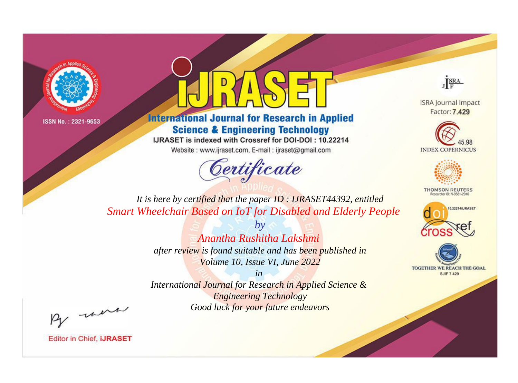



**International Journal for Research in Applied Science & Engineering Technology** 

IJRASET is indexed with Crossref for DOI-DOI: 10.22214

Website: www.ijraset.com, E-mail: ijraset@gmail.com





**ISRA Journal Impact** Factor: 7.429





**THOMSON REUTERS** 



TOGETHER WE REACH THE GOAL **SJIF 7.429** 

*It is here by certified that the paper ID : IJRASET44392, entitled Smart Wheelchair Based on IoT for Disabled and Elderly People*

> *by Anantha Rushitha Lakshmi*

*after review is found suitable and has been published in Volume 10, Issue VI, June 2022*

*in* 

*International Journal for Research in Applied Science & Engineering Technology Good luck for your future endeavors*

By morn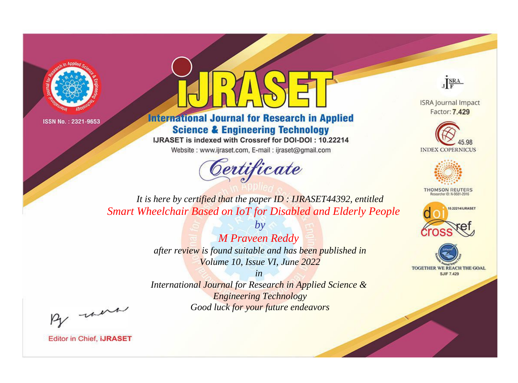



**International Journal for Research in Applied Science & Engineering Technology** 

IJRASET is indexed with Crossref for DOI-DOI: 10.22214

Website: www.ijraset.com, E-mail: ijraset@gmail.com



JERA

**ISRA Journal Impact** Factor: 7.429





**THOMSON REUTERS** 



TOGETHER WE REACH THE GOAL **SJIF 7.429** 

*It is here by certified that the paper ID : IJRASET44392, entitled Smart Wheelchair Based on IoT for Disabled and Elderly People*

> *M Praveen Reddy after review is found suitable and has been published in Volume 10, Issue VI, June 2022*

*by*

*in* 

*International Journal for Research in Applied Science & Engineering Technology Good luck for your future endeavors*

By morn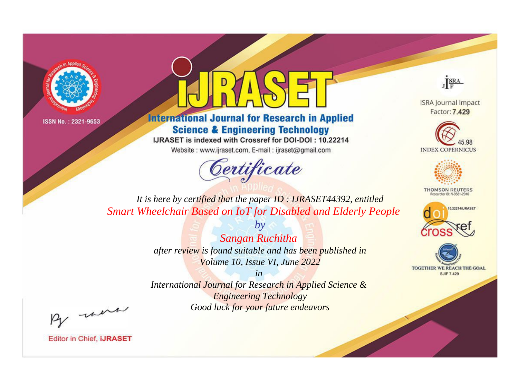



**International Journal for Research in Applied Science & Engineering Technology** 

IJRASET is indexed with Crossref for DOI-DOI: 10.22214

Website: www.ijraset.com, E-mail: ijraset@gmail.com



JERA

**ISRA Journal Impact** Factor: 7.429





**THOMSON REUTERS** 



TOGETHER WE REACH THE GOAL **SJIF 7.429** 

*It is here by certified that the paper ID : IJRASET44392, entitled Smart Wheelchair Based on IoT for Disabled and Elderly People*

> *by Sangan Ruchitha after review is found suitable and has been published in Volume 10, Issue VI, June 2022*

> > *in*

*International Journal for Research in Applied Science & Engineering Technology Good luck for your future endeavors*

By morn